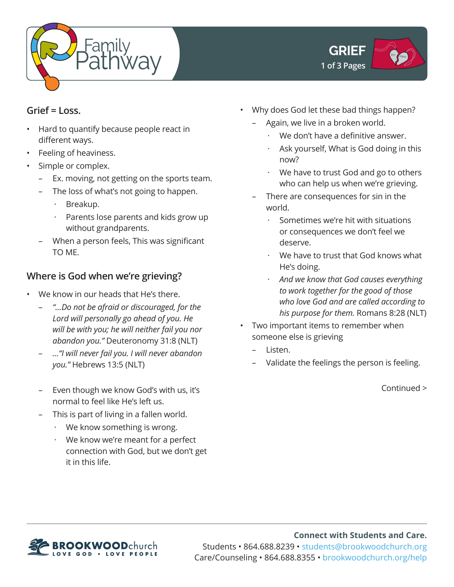



#### **Grief = Loss.**

- Hard to quantify because people react in different ways.
- Feeling of heaviness.
- Simple or complex.
	- Ex. moving, not getting on the sports team.
	- The loss of what's not going to happen.
		- · Breakup.
		- Parents lose parents and kids grow up without grandparents.
	- When a person feels, This was significant TO ME.

# **Where is God when we're grieving?**

- We know in our heads that He's there.
	- *"…Do not be afraid or discouraged, for the Lord will personally go ahead of you. He will be with you; he will neither fail you nor abandon you."* Deuteronomy 31:8 (NLT)
	- *…"I will never fail you. I will never abandon you."* Hebrews 13:5 (NLT)
	- Even though we know God's with us, it's normal to feel like He's left us.
	- This is part of living in a fallen world.
		- We know something is wrong.
		- · We know we're meant for a perfect connection with God, but we don't get it in this life.
- Why does God let these bad things happen?
	- Again, we live in a broken world.
		- We don't have a definitive answer.
		- Ask yourself, What is God doing in this now?
		- · We have to trust God and go to others who can help us when we're grieving.
	- There are consequences for sin in the world.
		- Sometimes we're hit with situations or consequences we don't feel we deserve.
		- We have to trust that God knows what He's doing.
		- · *And we know that God causes everything to work together for the good of those who love God and are called according to his purpose for them.* Romans 8:28 (NLT)
- Two important items to remember when someone else is grieving
	- Listen.
	- Validate the feelings the person is feeling.

Continued >



**Connect with Students and Care.** Students • 864.688.8239 • students@brookwoodchurch.org Care/Counseling • 864.688.8355 • brookwoodchurch.org/help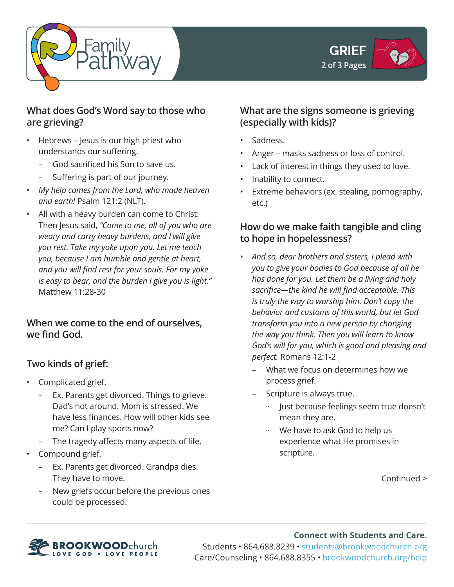



### **What does God's Word say to those who are grieving?**

- Hebrews Jesus is our high priest who understands our suffering.
	- God sacrificed his Son to save us.
	- Suffering is part of our journey.
- *My help comes from the Lord, who made heaven and earth!* Psalm 121:2 (NLT).
- All with a heavy burden can come to Christ: Then Jesus said, *"Come to me, all of you who are weary and carry heavy burdens, and I will give you rest. Take my yoke upon you. Let me teach you, because I am humble and gentle at heart, and you will find rest for your souls. For my yoke is easy to bear, and the burden I give you is light."*  Matthew 11:28-30

### **When we come to the end of ourselves, we find God.**

# **Two kinds of grief:**

- Complicated grief.
	- Ex. Parents get divorced. Things to grieve: Dad's not around. Mom is stressed. We have less finances. How will other kids see me? Can I play sports now?
	- The tragedy affects many aspects of life.
- Compound grief.
	- Ex. Parents get divorced. Grandpa dies. They have to move.
	- New griefs occur before the previous ones could be processed.

### **What are the signs someone is grieving (especially with kids)?**

- Sadness.
- Anger masks sadness or loss of control.
- Lack of interest in things they used to love.
- Inability to connect.
- Extreme behaviors (ex. stealing, pornography, etc.)

## **How do we make faith tangible and cling to hope in hopelessness?**

- *And so, dear brothers and sisters, I plead with you to give your bodies to God because of all he has done for you. Let them be a living and holy sacrifice—the kind he will find acceptable. This is truly the way to worship him. Don't copy the behavior and customs of this world, but let God transform you into a new person by changing the way you think. Then you will learn to know God's will for you, which is good and pleasing and perfect.* Romans 12:1-2
	- What we focus on determines how we process grief.
	- Scripture is always true.
		- Just because feelings seem true doesn't mean they are.
		- We have to ask God to help us experience what He promises in scripture.

Continued >



**Connect with Students and Care.** Students • 864.688.8239 • students@brookwoodchurch.org Care/Counseling • 864.688.8355 • brookwoodchurch.org/help